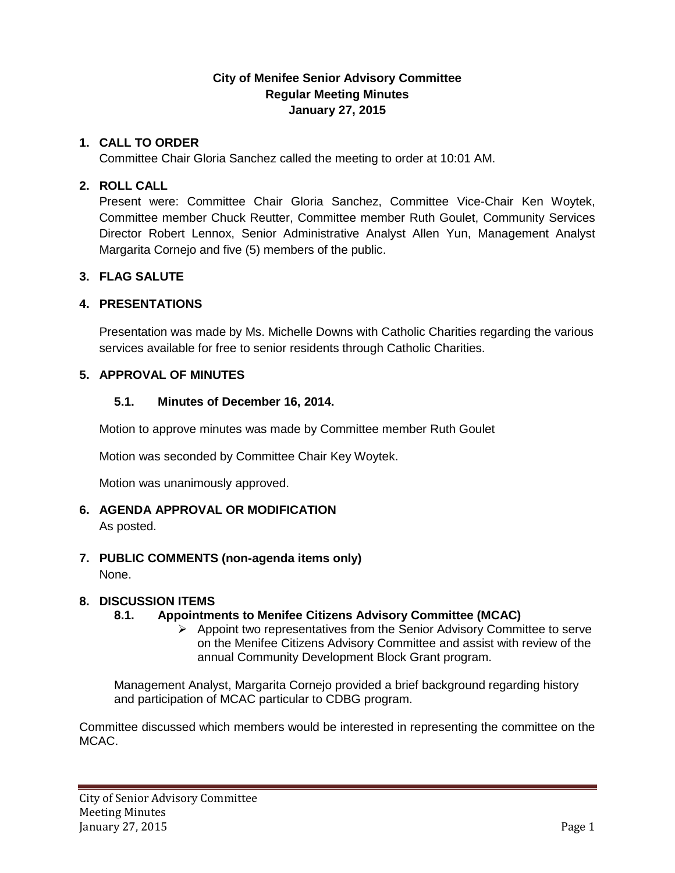# **City of Menifee Senior Advisory Committee Regular Meeting Minutes January 27, 2015**

# **1. CALL TO ORDER**

Committee Chair Gloria Sanchez called the meeting to order at 10:01 AM.

## **2. ROLL CALL**

Present were: Committee Chair Gloria Sanchez, Committee Vice-Chair Ken Woytek, Committee member Chuck Reutter, Committee member Ruth Goulet, Community Services Director Robert Lennox, Senior Administrative Analyst Allen Yun, Management Analyst Margarita Cornejo and five (5) members of the public.

## **3. FLAG SALUTE**

## **4. PRESENTATIONS**

Presentation was made by Ms. Michelle Downs with Catholic Charities regarding the various services available for free to senior residents through Catholic Charities.

## **5. APPROVAL OF MINUTES**

## **5.1. Minutes of December 16, 2014.**

Motion to approve minutes was made by Committee member Ruth Goulet

Motion was seconded by Committee Chair Key Woytek.

Motion was unanimously approved.

# **6. AGENDA APPROVAL OR MODIFICATION**

As posted.

### **7. PUBLIC COMMENTS (non-agenda items only)**

None.

# **8. DISCUSSION ITEMS**

# **8.1. Appointments to Menifee Citizens Advisory Committee (MCAC)**

 $\triangleright$  Appoint two representatives from the Senior Advisory Committee to serve on the Menifee Citizens Advisory Committee and assist with review of the annual Community Development Block Grant program.

Management Analyst, Margarita Cornejo provided a brief background regarding history and participation of MCAC particular to CDBG program.

Committee discussed which members would be interested in representing the committee on the MCAC.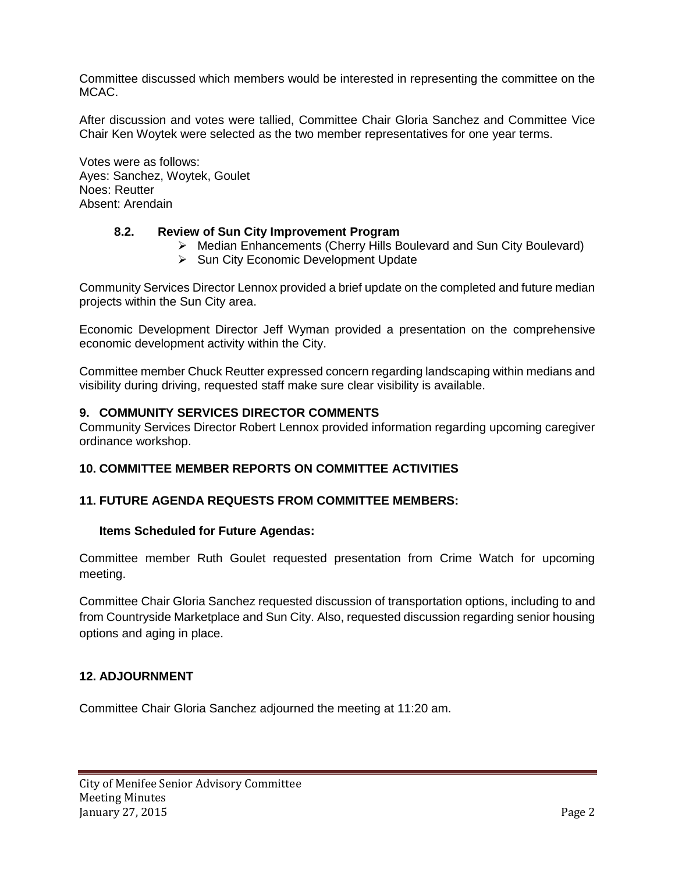Committee discussed which members would be interested in representing the committee on the MCAC.

After discussion and votes were tallied, Committee Chair Gloria Sanchez and Committee Vice Chair Ken Woytek were selected as the two member representatives for one year terms.

Votes were as follows: Ayes: Sanchez, Woytek, Goulet Noes: Reutter Absent: Arendain

### **8.2. Review of Sun City Improvement Program**

- Median Enhancements (Cherry Hills Boulevard and Sun City Boulevard)
- $\triangleright$  Sun City Economic Development Update

Community Services Director Lennox provided a brief update on the completed and future median projects within the Sun City area.

Economic Development Director Jeff Wyman provided a presentation on the comprehensive economic development activity within the City.

Committee member Chuck Reutter expressed concern regarding landscaping within medians and visibility during driving, requested staff make sure clear visibility is available.

#### **9. COMMUNITY SERVICES DIRECTOR COMMENTS**

Community Services Director Robert Lennox provided information regarding upcoming caregiver ordinance workshop.

### **10. COMMITTEE MEMBER REPORTS ON COMMITTEE ACTIVITIES**

#### **11. FUTURE AGENDA REQUESTS FROM COMMITTEE MEMBERS:**

#### **Items Scheduled for Future Agendas:**

Committee member Ruth Goulet requested presentation from Crime Watch for upcoming meeting.

Committee Chair Gloria Sanchez requested discussion of transportation options, including to and from Countryside Marketplace and Sun City. Also, requested discussion regarding senior housing options and aging in place.

#### **12. ADJOURNMENT**

Committee Chair Gloria Sanchez adjourned the meeting at 11:20 am.